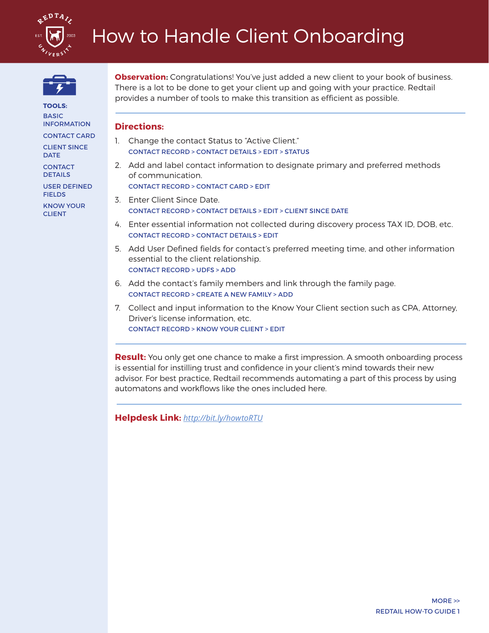



**TOOLS: BASIC** INFORMATION CONTACT CARD

CLIENT SINCE DATE

**CONTACT** DETAILS

USER DEFINED **FIELDS** 

KNOW YOUR CLIENT

**Observation:** Congratulations! You've just added a new client to your book of business. There is a lot to be done to get your client up and going with your practice. Redtail provides a number of tools to make this transition as efficient as possible.

## **Directions:**

- 1. Change the contact Status to "Active Client." CONTACT RECORD > CONTACT DETAILS > EDIT > STATUS
- 2. Add and label contact information to designate primary and preferred methods of communication. CONTACT RECORD > CONTACT CARD > EDIT
- 3. Enter Client Since Date.
	- CONTACT RECORD > CONTACT DETAILS > EDIT > CLIENT SINCE DATE
- 4. Enter essential information not collected during discovery process TAX ID, DOB, etc. CONTACT RECORD > CONTACT DETAILS > EDIT
- 5. Add User Defined fields for contact's preferred meeting time, and other information essential to the client relationship. CONTACT RECORD > UDFS > ADD
- 6. Add the contact's family members and link through the family page. CONTACT RECORD > CREATE A NEW FAMILY > ADD
- 7. Collect and input information to the Know Your Client section such as CPA, Attorney, Driver's license information, etc. CONTACT RECORD > KNOW YOUR CLIENT > EDIT

**Result:** You only get one chance to make a first impression. A smooth onboarding process is essential for instilling trust and confidence in your client's mind towards their new advisor. For best practice, Redtail recommends automating a part of this process by using automatons and workflows like the ones included here.

**Helpdesk Link:** *http://bit.ly/howtoRTU*